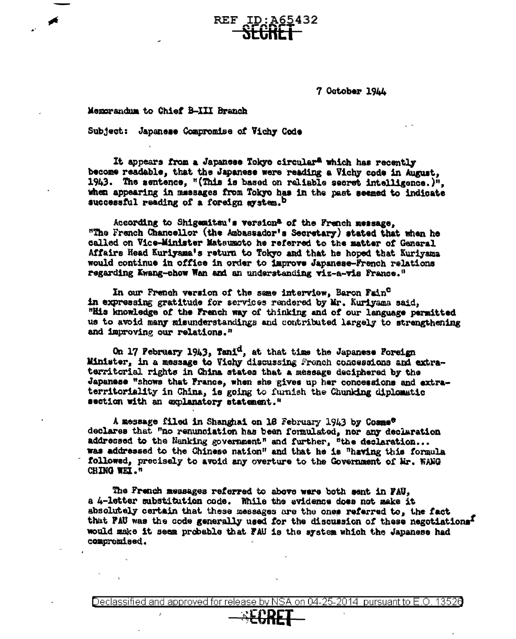**REF ID:A65432** 

7 October 1944

Momorandum to Chief B-III Branch

Subject: Japanese Compromise of Vichy Code

It appears from a Japanese Tokyo circular<sup>a</sup> which has recently become readable, that the Japanese were reading a Vichy code in August. 1943. The sentence, "(This is based on reliable secret intelligence.)". when appearing in messages from Tokyo has in the past seemed to indicate successful reading of a foreign system.<sup>b</sup>

According to Shigemitsu's version<sup>a</sup> of the French message, "The French Chancellor (the Ambassador's Secretary) stated that when he called on Vice-Minister Matsumoto he referred to the matter of General Affairs Head Kuriyama's return to Tokyo and that he hoped that Kuriyama would continue in office in order to improve Japanese-French relations regarding Kwang-chow Wan and an understanding viz-a-vis France."

In our French version of the same interview, Baron Fain<sup>C</sup> in expressing gratitude for services rendered by Mr. Kuriyama said, "His knowledge of the French way of thinking and of our language permitted us to avoid many misunderstandings and contributed largely to strengthening and improving our relations."

On 17 February 1943, Tani<sup>d</sup>, at that time the Japanese Foreign Minister, in a message to Vichy discussing French concessions and extraterritorial rights in China states that a message deciphered by the Japanese "shows that France, when she gives up her concessions and extraterritoriality in China, is going to furnish the Chunking diplomatic section with an explanatory statement."

A message filed in Shanghai on 16 February 1943 by Cosme<sup>e</sup> declares that "no renunciation has been formulated, nor any declaration addressed to the Nanking government" and further, "the declaration... was addressed to the Chinese nation" and that he is "having this formula followed, precisely to avoid any overture to the Government of Mr. WANG CHING WEI."

The French messages referred to above were both sent in FAU, a 4-letter substitution code. While the evidence does not make it absolutely certain that these messages are the ones referred to, the fact that PAU was the code generally used for the discussion of these negotiations<sup>I</sup> would make it seem probable that FAU is the system which the Japanese had compromised.

Declassified and approved for release by NSA on 04-25-2014 pursuant to E.O. 13520